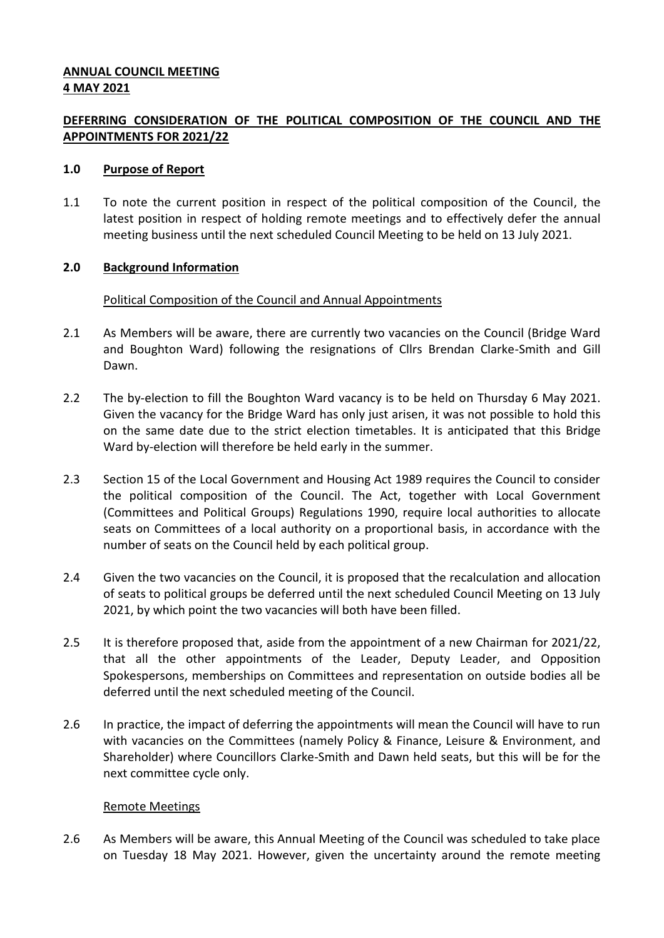### **ANNUAL COUNCIL MEETING 4 MAY 2021**

# **DEFERRING CONSIDERATION OF THE POLITICAL COMPOSITION OF THE COUNCIL AND THE APPOINTMENTS FOR 2021/22**

#### **1.0 Purpose of Report**

1.1 To note the current position in respect of the political composition of the Council, the latest position in respect of holding remote meetings and to effectively defer the annual meeting business until the next scheduled Council Meeting to be held on 13 July 2021.

### **2.0 Background Information**

### Political Composition of the Council and Annual Appointments

- 2.1 As Members will be aware, there are currently two vacancies on the Council (Bridge Ward and Boughton Ward) following the resignations of Cllrs Brendan Clarke-Smith and Gill Dawn.
- 2.2 The by-election to fill the Boughton Ward vacancy is to be held on Thursday 6 May 2021. Given the vacancy for the Bridge Ward has only just arisen, it was not possible to hold this on the same date due to the strict election timetables. It is anticipated that this Bridge Ward by-election will therefore be held early in the summer.
- 2.3 Section 15 of the Local Government and Housing Act 1989 requires the Council to consider the political composition of the Council. The Act, together with Local Government (Committees and Political Groups) Regulations 1990, require local authorities to allocate seats on Committees of a local authority on a proportional basis, in accordance with the number of seats on the Council held by each political group.
- 2.4 Given the two vacancies on the Council, it is proposed that the recalculation and allocation of seats to political groups be deferred until the next scheduled Council Meeting on 13 July 2021, by which point the two vacancies will both have been filled.
- 2.5 It is therefore proposed that, aside from the appointment of a new Chairman for 2021/22, that all the other appointments of the Leader, Deputy Leader, and Opposition Spokespersons, memberships on Committees and representation on outside bodies all be deferred until the next scheduled meeting of the Council.
- 2.6 In practice, the impact of deferring the appointments will mean the Council will have to run with vacancies on the Committees (namely Policy & Finance, Leisure & Environment, and Shareholder) where Councillors Clarke-Smith and Dawn held seats, but this will be for the next committee cycle only.

#### Remote Meetings

2.6 As Members will be aware, this Annual Meeting of the Council was scheduled to take place on Tuesday 18 May 2021. However, given the uncertainty around the remote meeting